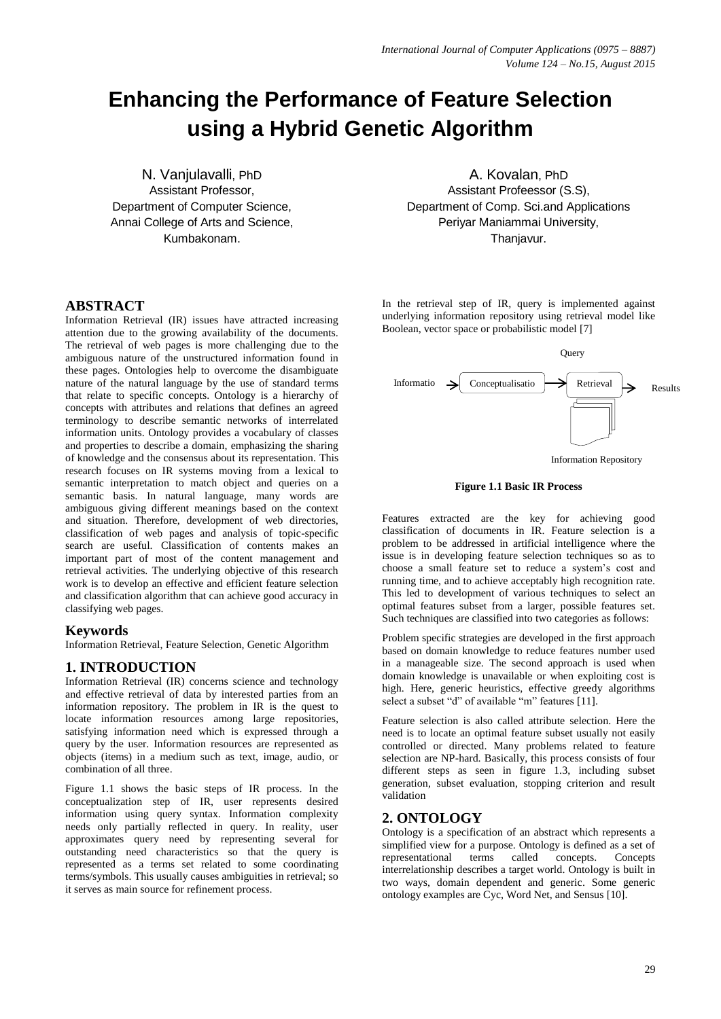# **Enhancing the Performance of Feature Selection using a Hybrid Genetic Algorithm**

N. Vanjulavalli, PhD Assistant Professor, Department of Computer Science, Annai College of Arts and Science, Kumbakonam.

#### **ABSTRACT**

Information Retrieval (IR) issues have attracted increasing attention due to the growing availability of the documents. The retrieval of web pages is more challenging due to the ambiguous nature of the unstructured information found in these pages. Ontologies help to overcome the disambiguate nature of the natural language by the use of standard terms that relate to specific concepts. Ontology is a hierarchy of concepts with attributes and relations that defines an agreed terminology to describe semantic networks of interrelated information units. Ontology provides a vocabulary of classes and properties to describe a domain, emphasizing the sharing of knowledge and the consensus about its representation. This research focuses on IR systems moving from a lexical to semantic interpretation to match object and queries on a semantic basis. In natural language, many words are ambiguous giving different meanings based on the context and situation. Therefore, development of web directories, classification of web pages and analysis of topic-specific search are useful. Classification of contents makes an important part of most of the content management and retrieval activities. The underlying objective of this research work is to develop an effective and efficient feature selection and classification algorithm that can achieve good accuracy in classifying web pages.

#### **Keywords**

Information Retrieval, Feature Selection, Genetic Algorithm

## **1. INTRODUCTION**

Information Retrieval (IR) concerns science and technology and effective retrieval of data by interested parties from an information repository. The problem in IR is the quest to locate information resources among large repositories, satisfying information need which is expressed through a query by the user. Information resources are represented as objects (items) in a medium such as text, image, audio, or combination of all three.

Figure 1.1 shows the basic steps of IR process. In the conceptualization step of IR, user represents desired information using query syntax. Information complexity needs only partially reflected in query. In reality, user approximates query need by representing several for outstanding need characteristics so that the query is represented as a terms set related to some coordinating terms/symbols. This usually causes ambiguities in retrieval; so it serves as main source for refinement process.

A. Kovalan, PhD Assistant Profeessor (S.S), Department of Comp. Sci.and Applications Periyar Maniammai University, Thaniavur.

In the retrieval step of IR, query is implemented against underlying information repository using retrieval model like Boolean, vector space or probabilistic model [7]



Information Repository

**Figure 1.1 Basic IR Process**

Features extracted are the key for achieving good classification of documents in IR. Feature selection is a problem to be addressed in artificial intelligence where the issue is in developing feature selection techniques so as to choose a small feature set to reduce a system's cost and running time, and to achieve acceptably high recognition rate. This led to development of various techniques to select an optimal features subset from a larger, possible features set. Such techniques are classified into two categories as follows:

Problem specific strategies are developed in the first approach based on domain knowledge to reduce features number used in a manageable size. The second approach is used when domain knowledge is unavailable or when exploiting cost is high. Here, generic heuristics, effective greedy algorithms select a subset "d" of available "m" features [11].

Feature selection is also called attribute selection. Here the need is to locate an optimal feature subset usually not easily controlled or directed. Many problems related to feature selection are NP-hard. Basically, this process consists of four different steps as seen in figure 1.3, including subset generation, subset evaluation, stopping criterion and result validation

#### **2. ONTOLOGY**

Ontology is a specification of an abstract which represents a simplified view for a purpose. Ontology is defined as a set of representational terms called concepts. Concepts representational terms called concepts. Concepts interrelationship describes a target world. Ontology is built in two ways, domain dependent and generic. Some generic ontology examples are Cyc, Word Net, and Sensus [10].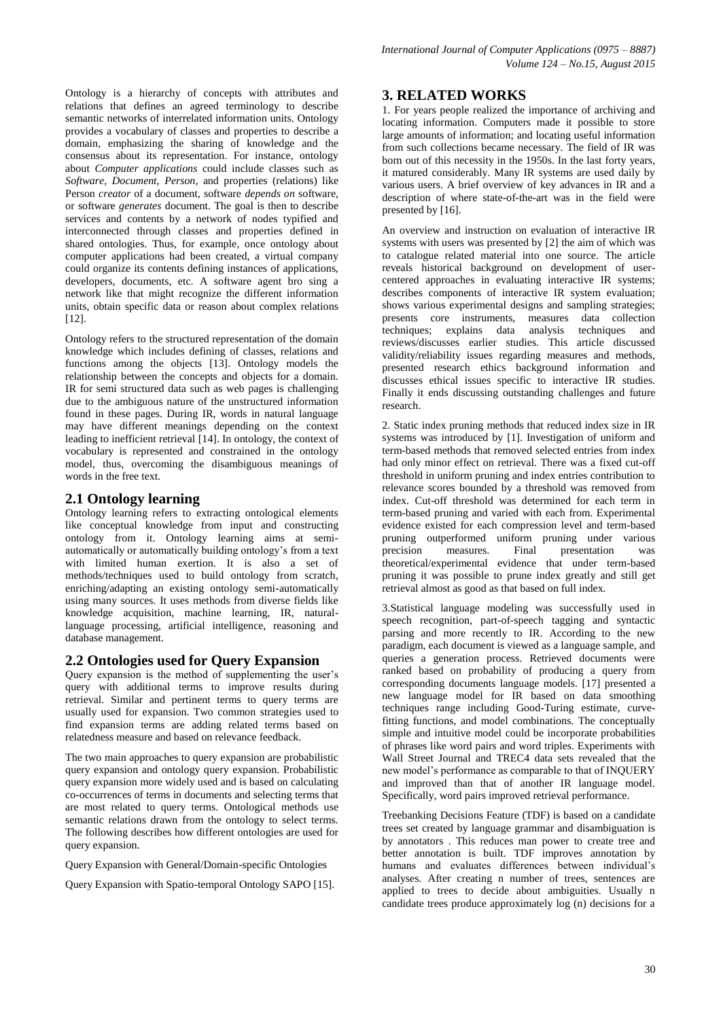Ontology is a hierarchy of concepts with attributes and relations that defines an agreed terminology to describe semantic networks of interrelated information units. Ontology provides a vocabulary of classes and properties to describe a domain, emphasizing the sharing of knowledge and the consensus about its representation. For instance, ontology about *Computer applications* could include classes such as *Software*, *Document*, *Person*, and properties (relations) like Person *creator* of a document, software *depends on* software, or software *generates* document. The goal is then to describe services and contents by a network of nodes typified and interconnected through classes and properties defined in shared ontologies. Thus, for example, once ontology about computer applications had been created, a virtual company could organize its contents defining instances of applications, developers, documents, etc. A software agent bro sing a network like that might recognize the different information units, obtain specific data or reason about complex relations [12].

Ontology refers to the structured representation of the domain knowledge which includes defining of classes, relations and functions among the objects [13]. Ontology models the relationship between the concepts and objects for a domain. IR for semi structured data such as web pages is challenging due to the ambiguous nature of the unstructured information found in these pages. During IR, words in natural language may have different meanings depending on the context leading to inefficient retrieval [14]. In ontology, the context of vocabulary is represented and constrained in the ontology model, thus, overcoming the disambiguous meanings of words in the free text.

## **2.1 Ontology learning**

Ontology learning refers to extracting ontological elements like conceptual knowledge from input and constructing ontology from it. Ontology learning aims at semiautomatically or automatically building ontology's from a text with limited human exertion. It is also a set of methods/techniques used to build ontology from scratch, enriching/adapting an existing ontology semi-automatically using many sources. It uses methods from diverse fields like knowledge acquisition, machine learning, IR, naturallanguage processing, artificial intelligence, reasoning and database management.

## **2.2 Ontologies used for Query Expansion**

Query expansion is the method of supplementing the user's query with additional terms to improve results during retrieval. Similar and pertinent terms to query terms are usually used for expansion. Two common strategies used to find expansion terms are adding related terms based on relatedness measure and based on relevance feedback.

The two main approaches to query expansion are probabilistic query expansion and ontology query expansion. Probabilistic query expansion more widely used and is based on calculating co-occurrences of terms in documents and selecting terms that are most related to query terms. Ontological methods use semantic relations drawn from the ontology to select terms. The following describes how different ontologies are used for query expansion.

Query Expansion with General/Domain-specific Ontologies

Query Expansion with Spatio-temporal Ontology SAPO [15].

## **3. RELATED WORKS**

1. For years people realized the importance of archiving and locating information. Computers made it possible to store large amounts of information; and locating useful information from such collections became necessary. The field of IR was born out of this necessity in the 1950s. In the last forty years, it matured considerably. Many IR systems are used daily by various users. A brief overview of key advances in IR and a description of where state-of-the-art was in the field were presented by [16].

An overview and instruction on evaluation of interactive IR systems with users was presented by [2] the aim of which was to catalogue related material into one source. The article reveals historical background on development of usercentered approaches in evaluating interactive IR systems; describes components of interactive IR system evaluation; shows various experimental designs and sampling strategies; presents core instruments, measures data collection techniques; explains data analysis techniques and reviews/discusses earlier studies. This article discussed validity/reliability issues regarding measures and methods, presented research ethics background information and discusses ethical issues specific to interactive IR studies. Finally it ends discussing outstanding challenges and future research.

2. Static index pruning methods that reduced index size in IR systems was introduced by [1]. Investigation of uniform and term-based methods that removed selected entries from index had only minor effect on retrieval. There was a fixed cut-off threshold in uniform pruning and index entries contribution to relevance scores bounded by a threshold was removed from index. Cut-off threshold was determined for each term in term-based pruning and varied with each from. Experimental evidence existed for each compression level and term-based pruning outperformed uniform pruning under various measures. Final presentation was theoretical/experimental evidence that under term-based pruning it was possible to prune index greatly and still get retrieval almost as good as that based on full index.

3.Statistical language modeling was successfully used in speech recognition, part-of-speech tagging and syntactic parsing and more recently to IR. According to the new paradigm, each document is viewed as a language sample, and queries a generation process. Retrieved documents were ranked based on probability of producing a query from corresponding documents language models. [17] presented a new language model for IR based on data smoothing techniques range including Good-Turing estimate, curvefitting functions, and model combinations. The conceptually simple and intuitive model could be incorporate probabilities of phrases like word pairs and word triples. Experiments with Wall Street Journal and TREC4 data sets revealed that the new model's performance as comparable to that of INQUERY and improved than that of another IR language model. Specifically, word pairs improved retrieval performance.

Treebanking Decisions Feature (TDF) is based on a candidate trees set created by language grammar and disambiguation is by annotators . This reduces man power to create tree and better annotation is built. TDF improves annotation by humans and evaluates differences between individual's analyses. After creating n number of trees, sentences are applied to trees to decide about ambiguities. Usually n candidate trees produce approximately log (n) decisions for a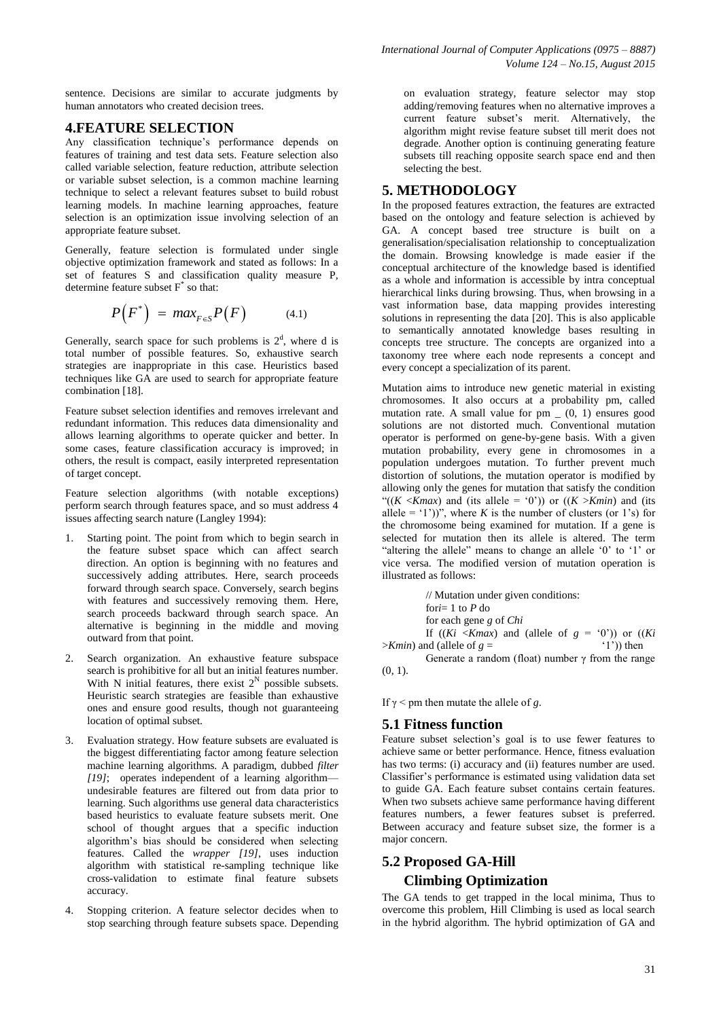sentence. Decisions are similar to accurate judgments by human annotators who created decision trees.

## **4.FEATURE SELECTION**

Any classification technique's performance depends on features of training and test data sets. Feature selection also called variable selection, feature reduction, attribute selection or variable subset selection, is a common machine learning technique to select a relevant features subset to build robust learning models. In machine learning approaches, feature selection is an optimization issue involving selection of an appropriate feature subset.

Generally, feature selection is formulated under single objective optimization framework and stated as follows: In a set of features S and classification quality measure P, determine feature subset F\* so that:

$$
P(F^*) = \max_{F \in S} P(F) \tag{4.1}
$$

Generally, search space for such problems is  $2<sup>d</sup>$ , where d is total number of possible features. So, exhaustive search strategies are inappropriate in this case. Heuristics based techniques like GA are used to search for appropriate feature combination [18].

Feature subset selection identifies and removes irrelevant and redundant information. This reduces data dimensionality and allows learning algorithms to operate quicker and better. In some cases, feature classification accuracy is improved; in others, the result is compact, easily interpreted representation of target concept.

Feature selection algorithms (with notable exceptions) perform search through features space, and so must address 4 issues affecting search nature (Langley 1994):

- 1. Starting point. The point from which to begin search in the feature subset space which can affect search direction. An option is beginning with no features and successively adding attributes. Here, search proceeds forward through search space. Conversely, search begins with features and successively removing them. Here, search proceeds backward through search space. An alternative is beginning in the middle and moving outward from that point.
- 2. Search organization. An exhaustive feature subspace search is prohibitive for all but an initial features number. With N initial features, there exist  $2^N$  possible subsets. Heuristic search strategies are feasible than exhaustive ones and ensure good results, though not guaranteeing location of optimal subset.
- 3. Evaluation strategy. How feature subsets are evaluated is the biggest differentiating factor among feature selection machine learning algorithms. A paradigm, dubbed *filter [19]*; operates independent of a learning algorithm undesirable features are filtered out from data prior to learning. Such algorithms use general data characteristics based heuristics to evaluate feature subsets merit. One school of thought argues that a specific induction algorithm's bias should be considered when selecting features. Called the *wrapper [19]*, uses induction algorithm with statistical re-sampling technique like cross-validation to estimate final feature subsets accuracy.
- 4. Stopping criterion. A feature selector decides when to stop searching through feature subsets space. Depending

on evaluation strategy, feature selector may stop adding/removing features when no alternative improves a current feature subset's merit. Alternatively, the algorithm might revise feature subset till merit does not degrade. Another option is continuing generating feature subsets till reaching opposite search space end and then selecting the best.

## **5. METHODOLOGY**

In the proposed features extraction, the features are extracted based on the ontology and feature selection is achieved by GA. A concept based tree structure is built on a generalisation/specialisation relationship to conceptualization the domain. Browsing knowledge is made easier if the conceptual architecture of the knowledge based is identified as a whole and information is accessible by intra conceptual hierarchical links during browsing. Thus, when browsing in a vast information base, data mapping provides interesting solutions in representing the data [20]. This is also applicable to semantically annotated knowledge bases resulting in concepts tree structure. The concepts are organized into a taxonomy tree where each node represents a concept and every concept a specialization of its parent.

Mutation aims to introduce new genetic material in existing chromosomes. It also occurs at a probability pm, called mutation rate. A small value for  $pm \_ (0, 1)$  ensures good solutions are not distorted much. Conventional mutation operator is performed on gene-by-gene basis. With a given mutation probability, every gene in chromosomes in a population undergoes mutation. To further prevent much distortion of solutions, the mutation operator is modified by allowing only the genes for mutation that satisfy the condition "( $(K \leq Kmax)$  and (its allele = '0')) or ( $(K \geq Kmin)$  and (its allele = '1'))", where *K* is the number of clusters (or 1's) for the chromosome being examined for mutation. If a gene is selected for mutation then its allele is altered. The term "altering the allele" means to change an allele '0' to '1' or vice versa. The modified version of mutation operation is illustrated as follows:

// Mutation under given conditions: for*i*= 1 to *P* do for each gene *g* of *Chi* If  $((Ki \leq Kmax)$  and (allele of  $g = (0')$ ) or  $((Ki \leq Kmax)$  and (allele of  $g = (1')$ ) then  $>$ *Kmin*) and (allele of  $g =$ 

Generate a random (float) number  $\gamma$  from the range  $(0, 1)$ .

If  $\gamma$  < pm then mutate the allele of *g*.

## **5.1 Fitness function**

Feature subset selection's goal is to use fewer features to achieve same or better performance. Hence, fitness evaluation has two terms: (i) accuracy and (ii) features number are used. Classifier's performance is estimated using validation data set to guide GA. Each feature subset contains certain features. When two subsets achieve same performance having different features numbers, a fewer features subset is preferred. Between accuracy and feature subset size, the former is a major concern.

# **5.2 Proposed GA-Hill Climbing Optimization**

The GA tends to get trapped in the local minima, Thus to overcome this problem, Hill Climbing is used as local search in the hybrid algorithm. The hybrid optimization of GA and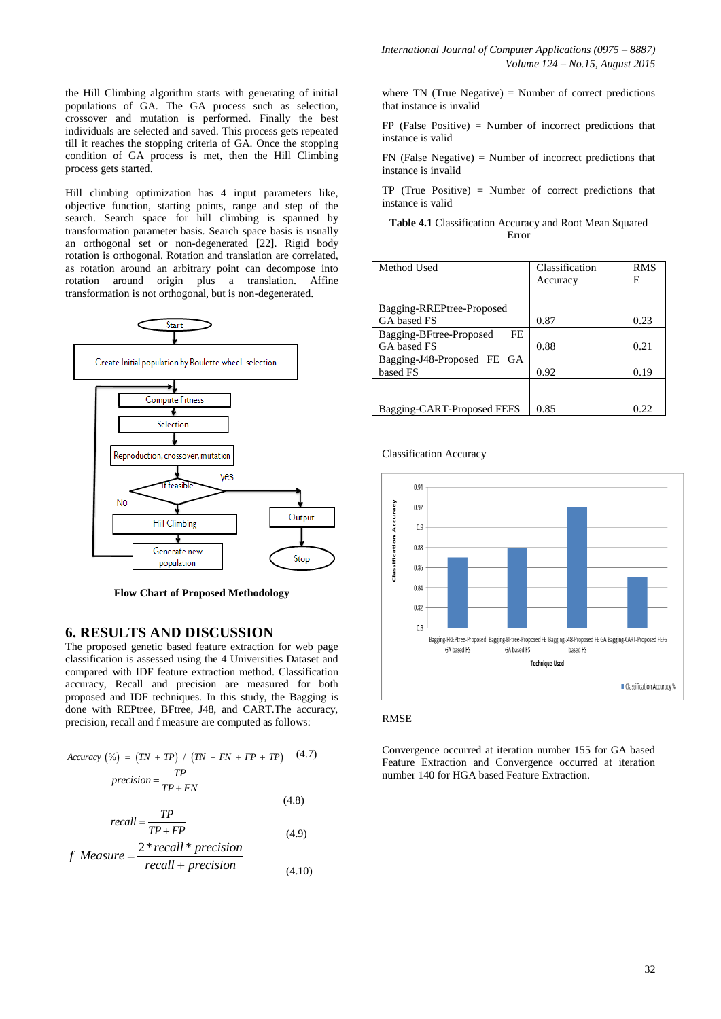the Hill Climbing algorithm starts with generating of initial populations of GA. The GA process such as selection, crossover and mutation is performed. Finally the best individuals are selected and saved. This process gets repeated till it reaches the stopping criteria of GA. Once the stopping condition of GA process is met, then the Hill Climbing process gets started.

Hill climbing optimization has 4 input parameters like, objective function, starting points, range and step of the search. Search space for hill climbing is spanned by transformation parameter basis. Search space basis is usually an orthogonal set or non-degenerated [22]. Rigid body rotation is orthogonal. Rotation and translation are correlated, as rotation around an arbitrary point can decompose into rotation around origin plus a translation. Affine transformation is not orthogonal, but is non-degenerated.



**Flow Chart of Proposed Methodology**

#### **6. RESULTS AND DISCUSSION**

The proposed genetic based feature extraction for web page classification is assessed using the 4 Universities Dataset and compared with IDF feature extraction method. Classification accuracy, Recall and precision are measured for both proposed and IDF techniques. In this study, the Bagging is done with REPtree, BFtree, J48, and CART.The accuracy, precision, recall and f measure are computed as follows:

$$
Accuracy (\%) = (TN + TP) / (TN + FN + FP + TP) \quad (4.7)
$$
  

$$
precision = \frac{TP}{TP + FN}
$$

$$
recall = \frac{TP}{TP + FP}
$$
\n
$$
(4.8)
$$
\n
$$
(4.9)
$$

 $(4.8)$ 

$$
TP + FP
$$
 (4.9)  
*f* Measure = 
$$
\frac{2 * recall * precision}{recall + precision}
$$
 (4.10)

where  $TN$  (True Negative) = Number of correct predictions that instance is invalid

FP (False Positive) = Number of incorrect predictions that instance is valid

FN (False Negative) = Number of incorrect predictions that instance is invalid

TP (True Positive) = Number of correct predictions that instance is valid

#### **Table 4.1** Classification Accuracy and Root Mean Squared Error

| Method Used                   | Classification | <b>RMS</b> |
|-------------------------------|----------------|------------|
|                               | Accuracy       | Е          |
|                               |                |            |
| Bagging-RREPtree-Proposed     |                |            |
| GA based FS                   | 0.87           | 0.23       |
| Bagging-BFtree-Proposed<br>FE |                |            |
| GA based FS                   | 0.88           | 0.21       |
| Bagging-J48-Proposed FE GA    |                |            |
| based FS                      | 0.92           | 0.19       |
|                               |                |            |
|                               |                |            |
| Bagging-CART-Proposed FEFS    | 0.85           | 0.22       |

Classification Accuracy



#### RMSE

Convergence occurred at iteration number 155 for GA based Feature Extraction and Convergence occurred at iteration number 140 for HGA based Feature Extraction.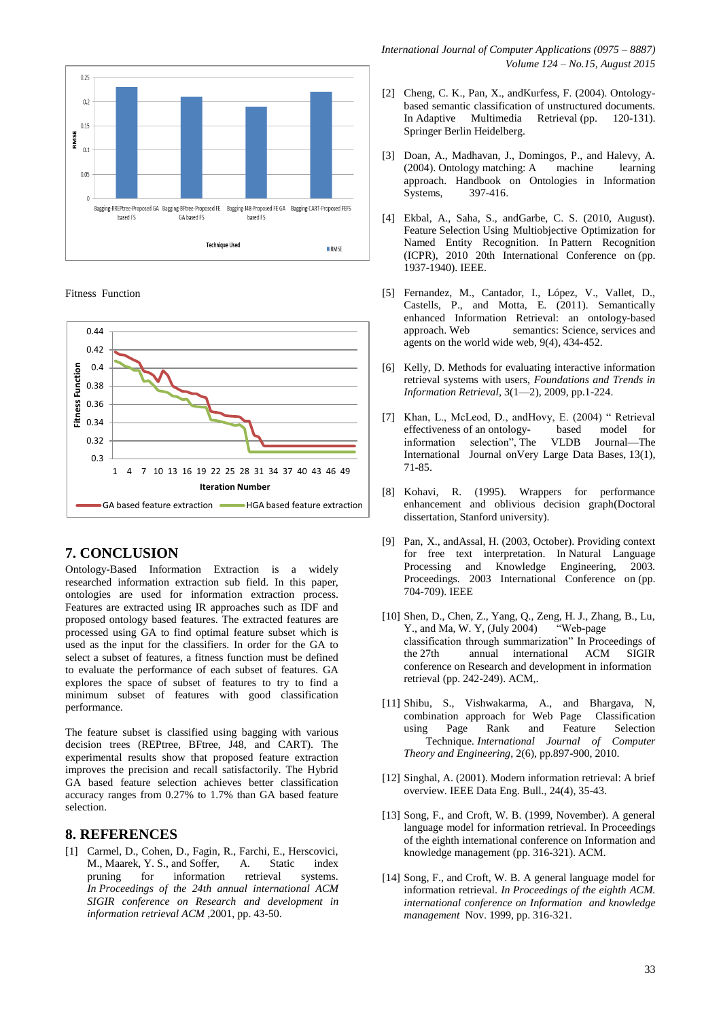

Fitness Function



## **7. CONCLUSION**

Ontology-Based Information Extraction is a widely researched information extraction sub field. In this paper, ontologies are used for information extraction process. Features are extracted using IR approaches such as IDF and proposed ontology based features. The extracted features are processed using GA to find optimal feature subset which is used as the input for the classifiers. In order for the GA to select a subset of features, a fitness function must be defined to evaluate the performance of each subset of features. GA explores the space of subset of features to try to find a minimum subset of features with good classification performance.

The feature subset is classified using bagging with various decision trees (REPtree, BFtree, J48, and CART). The experimental results show that proposed feature extraction improves the precision and recall satisfactorily. The Hybrid GA based feature selection achieves better classification accuracy ranges from 0.27% to 1.7% than GA based feature selection.

#### **8. REFERENCES**

[1] Carmel, D., Cohen, D., Fagin, R., Farchi, E., Herscovici, M., Maarek, Y. S., and Soffer, A. Static index pruning for information retrieval systems. *In Proceedings of the 24th annual international ACM SIGIR conference on Research and development in information retrieval ACM* ,2001, pp. 43-50.

- [2] Cheng, C. K., Pan, X., andKurfess, F. (2004). Ontologybased semantic classification of unstructured documents. In Adaptive Multimedia Retrieval (pp. 120-131). Springer Berlin Heidelberg.
- [3] Doan, A., Madhavan, J., Domingos, P., and Halevy, A. (2004). Ontology matching: A machine learning approach. Handbook on Ontologies in Information Systems, 397-416.
- [4] Ekbal, A., Saha, S., andGarbe, C. S. (2010, August). Feature Selection Using Multiobjective Optimization for Named Entity Recognition. In Pattern Recognition (ICPR), 2010 20th International Conference on (pp. 1937-1940). IEEE.
- [5] Fernandez, M., Cantador, I., López, V., Vallet, D., Castells, P., and Motta, E. (2011). Semantically enhanced Information Retrieval: an ontology-based approach. Web semantics: Science, services and agents on the world wide web, 9(4), 434-452.
- [6] Kelly, D. Methods for evaluating interactive information retrieval systems with users, *Foundations and Trends in Information Retrieval*, 3(1—2), 2009, pp.1-224.
- Khan, L., McLeod, D., andHovy, E. (2004) " Retrieval effectiveness of an ontology-based model for effectiveness of an ontologyinformation selection", The VLDB Journal—The International Journal onVery Large Data Bases, 13(1), 71-85.
- [8] Kohavi, R. (1995). Wrappers for performance enhancement and oblivious decision graph(Doctoral dissertation, Stanford university).
- [9] Pan, X., andAssal, H. (2003, October). Providing context for free text interpretation. In Natural Language Processing and Knowledge Engineering, 2003. Proceedings. 2003 International Conference on (pp. 704-709). IEEE
- [10] Shen, D., Chen, Z., Yang, Q., Zeng, H. J., Zhang, B., Lu, Y., and Ma, W. Y, (July 2004) "Web-page classification through summarization" In Proceedings of the 27th annual international ACM SIGIR conference on Research and development in information retrieval (pp. 242-249). ACM,.
- [11] Shibu, S., Vishwakarma, A., and Bhargava, N, combination approach for Web Page Classification using Page Rank and Feature Selection Technique*. International Journal of Computer Theory and Engineering*, 2(6), pp.897-900, 2010.
- [12] Singhal, A. (2001). Modern information retrieval: A brief overview. IEEE Data Eng. Bull., 24(4), 35-43.
- [13] Song, F., and Croft, W. B. (1999, November). A general language model for information retrieval. In Proceedings of the eighth international conference on Information and knowledge management (pp. 316-321). ACM.
- [14] Song, F., and Croft, W. B. A general language model for information retrieval. *In Proceedings of the eighth ACM. international conference on Information and knowledge management* Nov. 1999, pp. 316-321.